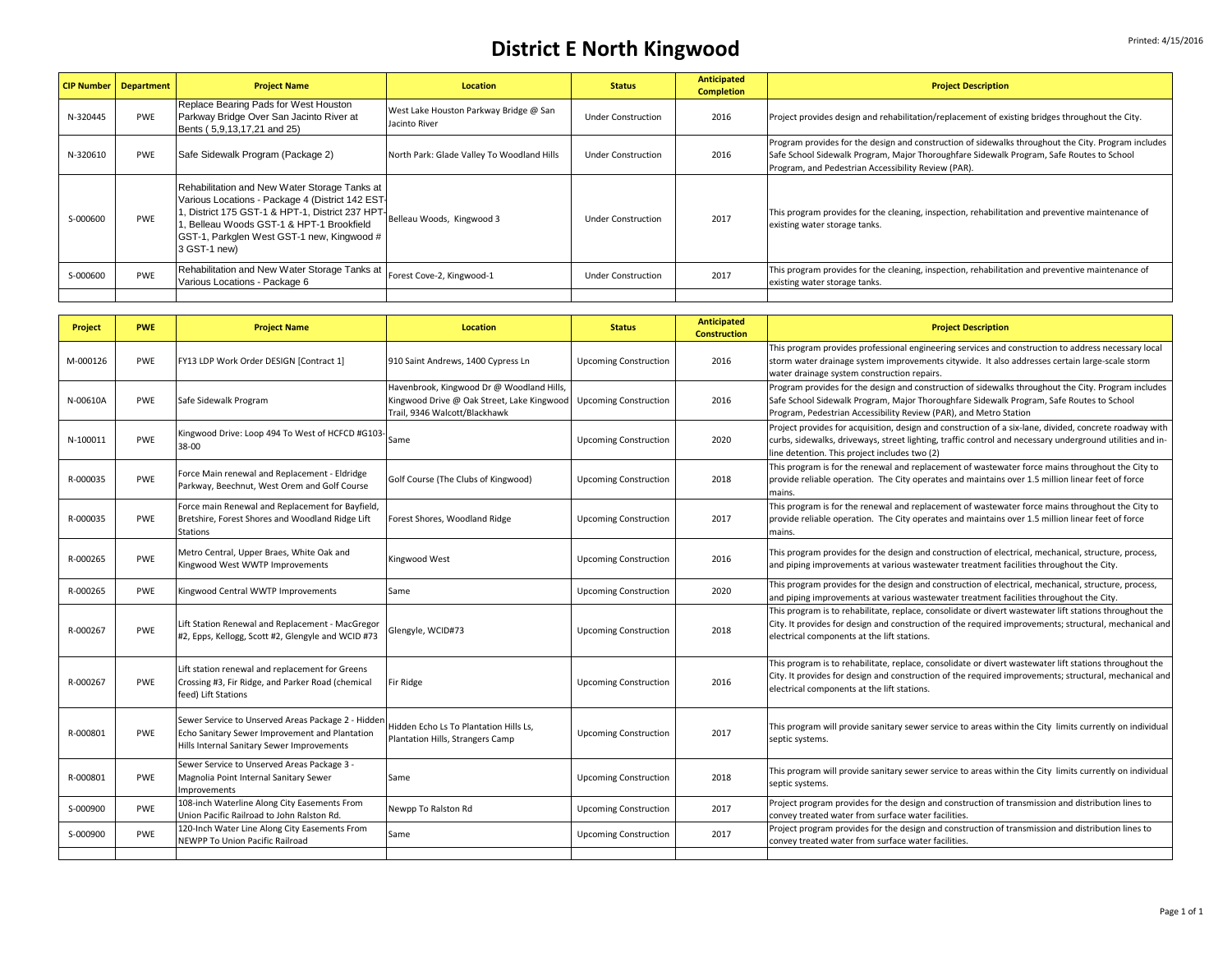## **District E** North Kingwood

|          | <b>CIP Number   Department</b> | <b>Project Name</b>                                                                                                                                                                                                                                                                          | <b>Location</b>                                         | <b>Status</b>             | Anticipated<br><b>Completion</b> | <b>Project Description</b>                                                                                                                                                                                                                             |
|----------|--------------------------------|----------------------------------------------------------------------------------------------------------------------------------------------------------------------------------------------------------------------------------------------------------------------------------------------|---------------------------------------------------------|---------------------------|----------------------------------|--------------------------------------------------------------------------------------------------------------------------------------------------------------------------------------------------------------------------------------------------------|
| N-320445 | <b>PWE</b>                     | Replace Bearing Pads for West Houston<br>Parkway Bridge Over San Jacinto River at<br>Bents (5,9,13,17,21 and 25)                                                                                                                                                                             | West Lake Houston Parkway Bridge @ San<br>Jacinto River | <b>Under Construction</b> | 2016                             | Project provides design and rehabilitation/replacement of existing bridges throughout the City.                                                                                                                                                        |
| N-320610 | <b>PWE</b>                     | Safe Sidewalk Program (Package 2)                                                                                                                                                                                                                                                            | North Park: Glade Valley To Woodland Hills              | <b>Under Construction</b> | 2016                             | Program provides for the design and construction of sidewalks throughout the City. Program includes<br>Safe School Sidewalk Program, Major Thoroughfare Sidewalk Program, Safe Routes to School<br>Program, and Pedestrian Accessibility Review (PAR). |
| S-000600 | PWF                            | Rehabilitation and New Water Storage Tanks at<br>Various Locations - Package 4 (District 142 EST-<br>1, District 175 GST-1 & HPT-1, District 237 HPT-<br>Belleau Woods, Kingwood 3<br>. Belleau Woods GST-1 & HPT-1 Brookfield<br>GST-1, Parkglen West GST-1 new, Kingwood #<br>3 GST-1 new) |                                                         | Under Construction        | 2017                             | This program provides for the cleaning, inspection, rehabilitation and preventive maintenance of<br>existing water storage tanks.                                                                                                                      |
| S-000600 | <b>PWF</b>                     | Rehabilitation and New Water Storage Tanks at<br>Various Locations - Package 6                                                                                                                                                                                                               | Forest Cove-2, Kingwood-1                               | <b>Under Construction</b> | 2017                             | This program provides for the cleaning, inspection, rehabilitation and preventive maintenance of<br>existing water storage tanks.                                                                                                                      |
|          |                                |                                                                                                                                                                                                                                                                                              |                                                         |                           |                                  |                                                                                                                                                                                                                                                        |

| <b>Project</b> | <b>PWE</b> | <b>Project Name</b>                                                                                                                                | <b>Location</b>                                                                                                          | <b>Status</b>                | <b>Anticipated</b><br><b>Construction</b> | <b>Project Description</b>                                                                                                                                                                                                                                            |
|----------------|------------|----------------------------------------------------------------------------------------------------------------------------------------------------|--------------------------------------------------------------------------------------------------------------------------|------------------------------|-------------------------------------------|-----------------------------------------------------------------------------------------------------------------------------------------------------------------------------------------------------------------------------------------------------------------------|
| M-000126       | PWE        | FY13 LDP Work Order DESIGN [Contract 1]                                                                                                            | 910 Saint Andrews, 1400 Cypress Ln                                                                                       | <b>Upcoming Construction</b> | 2016                                      | This program provides professional engineering services and construction to address necessary local<br>storm water drainage system improvements citywide. It also addresses certain large-scale storm<br>water drainage system construction repairs.                  |
| N-00610A       | PWE        | Safe Sidewalk Program                                                                                                                              | Havenbrook, Kingwood Dr @ Woodland Hills,<br>Kingwood Drive @ Oak Street, Lake Kingwood<br>Trail, 9346 Walcott/Blackhawk | <b>Upcoming Construction</b> | 2016                                      | Program provides for the design and construction of sidewalks throughout the City. Program includes<br>Safe School Sidewalk Program, Major Thoroughfare Sidewalk Program, Safe Routes to School<br>Program, Pedestrian Accessibility Review (PAR), and Metro Station  |
| N-100011       | PWE        | Kingwood Drive: Loop 494 To West of HCFCD #G103-<br>38-00                                                                                          | Same                                                                                                                     | <b>Upcoming Construction</b> | 2020                                      | Project provides for acquisition, design and construction of a six-lane, divided, concrete roadway with<br>curbs, sidewalks, driveways, street lighting, traffic control and necessary underground utilities and in-<br>line detention. This project includes two (2) |
| R-000035       | PWE        | Force Main renewal and Replacement - Eldridge<br>Parkway, Beechnut, West Orem and Golf Course                                                      | Golf Course (The Clubs of Kingwood)                                                                                      | <b>Upcoming Construction</b> | 2018                                      | This program is for the renewal and replacement of wastewater force mains throughout the City to<br>provide reliable operation. The City operates and maintains over 1.5 million linear feet of force<br>mains.                                                       |
| R-000035       | <b>PWE</b> | Force main Renewal and Replacement for Bayfield,<br>Bretshire, Forest Shores and Woodland Ridge Lift<br><b>Stations</b>                            | Forest Shores, Woodland Ridge                                                                                            | <b>Upcoming Construction</b> | 2017                                      | This program is for the renewal and replacement of wastewater force mains throughout the City to<br>provide reliable operation. The City operates and maintains over 1.5 million linear feet of force<br>mains.                                                       |
| R-000265       | PWE        | Metro Central, Upper Braes, White Oak and<br>Kingwood West WWTP Improvements                                                                       | Kingwood West                                                                                                            | <b>Upcoming Construction</b> | 2016                                      | This program provides for the design and construction of electrical, mechanical, structure, process,<br>and piping improvements at various wastewater treatment facilities throughout the City.                                                                       |
| R-000265       | PWE        | Kingwood Central WWTP Improvements                                                                                                                 | Same                                                                                                                     | <b>Upcoming Construction</b> | 2020                                      | This program provides for the design and construction of electrical, mechanical, structure, process,<br>and piping improvements at various wastewater treatment facilities throughout the City.                                                                       |
| R-000267       | PWE        | Lift Station Renewal and Replacement - MacGregor<br>#2, Epps, Kellogg, Scott #2, Glengyle and WCID #73                                             | Glengyle, WCID#73                                                                                                        | <b>Upcoming Construction</b> | 2018                                      | This program is to rehabilitate, replace, consolidate or divert wastewater lift stations throughout the<br>City. It provides for design and construction of the required improvements; structural, mechanical and<br>electrical components at the lift stations.      |
| R-000267       | PWE        | Lift station renewal and replacement for Greens<br>Crossing #3, Fir Ridge, and Parker Road (chemical<br>feed) Lift Stations                        | Fir Ridge                                                                                                                | <b>Upcoming Construction</b> | 2016                                      | This program is to rehabilitate, replace, consolidate or divert wastewater lift stations throughout the<br>City. It provides for design and construction of the required improvements; structural, mechanical and<br>electrical components at the lift stations.      |
| R-000801       | PWE        | Sewer Service to Unserved Areas Package 2 - Hidden<br>Echo Sanitary Sewer Improvement and Plantation<br>Hills Internal Sanitary Sewer Improvements | Hidden Echo Ls To Plantation Hills Ls,<br>Plantation Hills, Strangers Camp                                               | <b>Upcoming Construction</b> | 2017                                      | This program will provide sanitary sewer service to areas within the City limits currently on individual<br>septic systems.                                                                                                                                           |
| R-000801       | PWF        | Sewer Service to Unserved Areas Package 3 -<br>Magnolia Point Internal Sanitary Sewer<br>Improvements                                              | Same                                                                                                                     | <b>Upcoming Construction</b> | 2018                                      | This program will provide sanitary sewer service to areas within the City limits currently on individual<br>septic systems.                                                                                                                                           |
| S-000900       | PWE        | 108-inch Waterline Along City Easements From<br>Union Pacific Railroad to John Ralston Rd.                                                         | Newpp To Ralston Rd                                                                                                      | <b>Upcoming Construction</b> | 2017                                      | Project program provides for the design and construction of transmission and distribution lines to<br>convey treated water from surface water facilities.                                                                                                             |
| S-000900       | PWE        | 120-Inch Water Line Along City Easements From<br>NEWPP To Union Pacific Railroad                                                                   | Same                                                                                                                     | <b>Upcoming Construction</b> | 2017                                      | Project program provides for the design and construction of transmission and distribution lines to<br>convey treated water from surface water facilities.                                                                                                             |
|                |            |                                                                                                                                                    |                                                                                                                          |                              |                                           |                                                                                                                                                                                                                                                                       |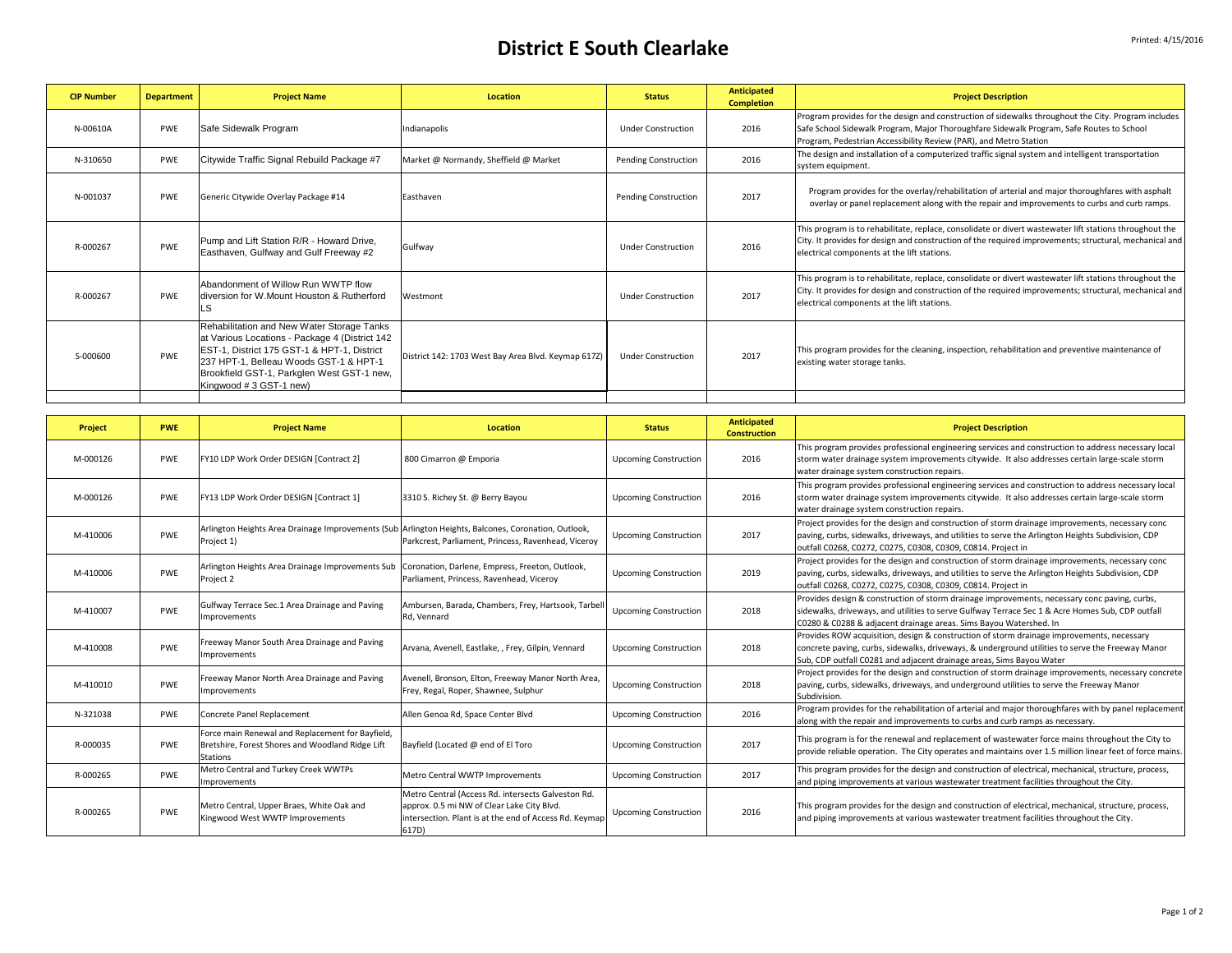## **District E** South Clearlake **Printed: 4/15/2016**

| <b>CIP Number</b> | <b>Department</b> | <b>Project Name</b>                                                                                                                                                                                                                                           | <b>Location</b>                                     | <b>Status</b>               | <b>Anticipated</b><br><b>Completion</b> | <b>Project Description</b>                                                                                                                                                                                                                                           |
|-------------------|-------------------|---------------------------------------------------------------------------------------------------------------------------------------------------------------------------------------------------------------------------------------------------------------|-----------------------------------------------------|-----------------------------|-----------------------------------------|----------------------------------------------------------------------------------------------------------------------------------------------------------------------------------------------------------------------------------------------------------------------|
| N-00610A          | <b>PWE</b>        | Safe Sidewalk Program                                                                                                                                                                                                                                         | Indianapolis                                        | <b>Under Construction</b>   | 2016                                    | Program provides for the design and construction of sidewalks throughout the City. Program includes<br>Safe School Sidewalk Program, Major Thoroughfare Sidewalk Program, Safe Routes to School<br>Program, Pedestrian Accessibility Review (PAR), and Metro Station |
| N-310650          | <b>PWE</b>        | Citywide Traffic Signal Rebuild Package #7                                                                                                                                                                                                                    | Market @ Normandy, Sheffield @ Market               | <b>Pending Construction</b> | 2016                                    | The design and installation of a computerized traffic signal system and intelligent transportation<br>system equipment.                                                                                                                                              |
| N-001037          | <b>PWE</b>        | Generic Citywide Overlay Package #14                                                                                                                                                                                                                          | Easthaven                                           | Pending Construction        | 2017                                    | Program provides for the overlay/rehabilitation of arterial and major thoroughfares with asphalt<br>overlay or panel replacement along with the repair and improvements to curbs and curb ramps.                                                                     |
| R-000267          | <b>PWF</b>        | Pump and Lift Station R/R - Howard Drive,<br>Easthaven, Gulfway and Gulf Freeway #2                                                                                                                                                                           | Gulfway                                             | <b>Under Construction</b>   | 2016                                    | This program is to rehabilitate, replace, consolidate or divert wastewater lift stations throughout the<br>City. It provides for design and construction of the required improvements; structural, mechanical and<br>electrical components at the lift stations.     |
| R-000267          | <b>PWF</b>        | Abandonment of Willow Run WWTP flow<br>diversion for W.Mount Houston & Rutherford                                                                                                                                                                             | Westmont                                            | <b>Under Construction</b>   | 2017                                    | This program is to rehabilitate, replace, consolidate or divert wastewater lift stations throughout the<br>City. It provides for design and construction of the required improvements; structural, mechanical and<br>electrical components at the lift stations.     |
| S-000600          | <b>PWF</b>        | Rehabilitation and New Water Storage Tanks<br>at Various Locations - Package 4 (District 142<br>EST-1, District 175 GST-1 & HPT-1, District<br>237 HPT-1, Belleau Woods GST-1 & HPT-1<br>Brookfield GST-1, Parkglen West GST-1 new,<br>Kingwood #3 GST-1 new) | District 142: 1703 West Bay Area Blvd. Keymap 617Z) | <b>Under Construction</b>   | 2017                                    | This program provides for the cleaning, inspection, rehabilitation and preventive maintenance of<br>existing water storage tanks.                                                                                                                                    |
|                   |                   |                                                                                                                                                                                                                                                               |                                                     |                             |                                         |                                                                                                                                                                                                                                                                      |

| Project  | <b>PWE</b> | <b>Project Name</b>                                                                                                     | Location                                                                                                                                                            | <b>Status</b>                | <b>Anticipated</b><br><b>Construction</b> | <b>Project Description</b>                                                                                                                                                                                                                                            |
|----------|------------|-------------------------------------------------------------------------------------------------------------------------|---------------------------------------------------------------------------------------------------------------------------------------------------------------------|------------------------------|-------------------------------------------|-----------------------------------------------------------------------------------------------------------------------------------------------------------------------------------------------------------------------------------------------------------------------|
| M-000126 | PWE        | FY10 LDP Work Order DESIGN [Contract 2]                                                                                 | 800 Cimarron @ Emporia                                                                                                                                              | <b>Upcoming Construction</b> | 2016                                      | This program provides professional engineering services and construction to address necessary local<br>storm water drainage system improvements citywide. It also addresses certain large-scale storm<br>water drainage system construction repairs.                  |
| M-000126 | PWE        | FY13 LDP Work Order DESIGN [Contract 1]                                                                                 | 3310 S. Richey St. @ Berry Bayou                                                                                                                                    | <b>Upcoming Construction</b> | 2016                                      | This program provides professional engineering services and construction to address necessary local<br>storm water drainage system improvements citywide. It also addresses certain large-scale storm<br>water drainage system construction repairs.                  |
| M-410006 | PWE        | Arlington Heights Area Drainage Improvements (Sub Arlington Heights, Balcones, Coronation, Outlook,<br>Project 1)       | Parkcrest, Parliament, Princess, Ravenhead, Viceroy                                                                                                                 | <b>Upcoming Construction</b> | 2017                                      | Project provides for the design and construction of storm drainage improvements, necessary conc<br>paving, curbs, sidewalks, driveways, and utilities to serve the Arlington Heights Subdivision, CDP<br>outfall C0268, C0272, C0275, C0308, C0309, C0814. Project in |
| M-410006 | PWE        | Arlington Heights Area Drainage Improvements Sub   Coronation, Darlene, Empress, Freeton, Outlook,<br>Project 2         | Parliament, Princess, Ravenhead, Viceroy                                                                                                                            | <b>Upcoming Construction</b> | 2019                                      | Project provides for the design and construction of storm drainage improvements, necessary conc<br>paving, curbs, sidewalks, driveways, and utilities to serve the Arlington Heights Subdivision, CDP<br>outfall C0268, C0272, C0275, C0308, C0309, C0814. Project in |
| M-410007 | PWE        | Gulfway Terrace Sec.1 Area Drainage and Paving<br>Improvements                                                          | Ambursen, Barada, Chambers, Frey, Hartsook, Tarbell<br>Rd. Vennard                                                                                                  | <b>Upcoming Construction</b> | 2018                                      | Provides design & construction of storm drainage improvements, necessary conc paving, curbs,<br>sidewalks, driveways, and utilities to serve Gulfway Terrace Sec 1 & Acre Homes Sub, CDP outfall<br>C0280 & C0288 & adjacent drainage areas. Sims Bayou Watershed. In |
| M-410008 | PWE        | Freeway Manor South Area Drainage and Paving<br>Improvements                                                            | Arvana, Avenell, Eastlake, , Frey, Gilpin, Vennard                                                                                                                  | <b>Upcoming Construction</b> | 2018                                      | Provides ROW acquisition, design & construction of storm drainage improvements, necessary<br>concrete paving, curbs, sidewalks, driveways, & underground utilities to serve the Freeway Manor<br>Sub, CDP outfall C0281 and adjacent drainage areas, Sims Bayou Water |
| M-410010 | <b>PWF</b> | Freeway Manor North Area Drainage and Paving<br>Improvements                                                            | Avenell, Bronson, Elton, Freeway Manor North Area,<br>Frey, Regal, Roper, Shawnee, Sulphur                                                                          | <b>Upcoming Construction</b> | 2018                                      | Project provides for the design and construction of storm drainage improvements, necessary concrete<br>paving, curbs, sidewalks, driveways, and underground utilities to serve the Freeway Manor<br>Subdivision.                                                      |
| N-321038 | PWE        | Concrete Panel Replacement                                                                                              | Allen Genoa Rd, Space Center Blvd                                                                                                                                   | <b>Upcoming Construction</b> | 2016                                      | Program provides for the rehabilitation of arterial and major thoroughfares with by panel replacement<br>along with the repair and improvements to curbs and curb ramps as necessary.                                                                                 |
| R-000035 | PWE        | Force main Renewal and Replacement for Bayfield,<br>Bretshire, Forest Shores and Woodland Ridge Lift<br><b>Stations</b> | Bayfield (Located @ end of El Toro                                                                                                                                  | <b>Upcoming Construction</b> | 2017                                      | This program is for the renewal and replacement of wastewater force mains throughout the City to<br>provide reliable operation. The City operates and maintains over 1.5 million linear feet of force mains.                                                          |
| R-000265 | PWE        | Metro Central and Turkey Creek WWTPs<br>Improvements                                                                    | Metro Central WWTP Improvements                                                                                                                                     | <b>Upcoming Construction</b> | 2017                                      | This program provides for the design and construction of electrical, mechanical, structure, process,<br>and piping improvements at various wastewater treatment facilities throughout the City.                                                                       |
| R-000265 | PWE        | Metro Central, Upper Braes, White Oak and<br>Kingwood West WWTP Improvements                                            | Metro Central (Access Rd. intersects Galveston Rd.<br>approx. 0.5 mi NW of Clear Lake City Blvd.<br>intersection. Plant is at the end of Access Rd. Keymap<br>617D) | <b>Upcoming Construction</b> | 2016                                      | This program provides for the design and construction of electrical, mechanical, structure, process,<br>and piping improvements at various wastewater treatment facilities throughout the City.                                                                       |